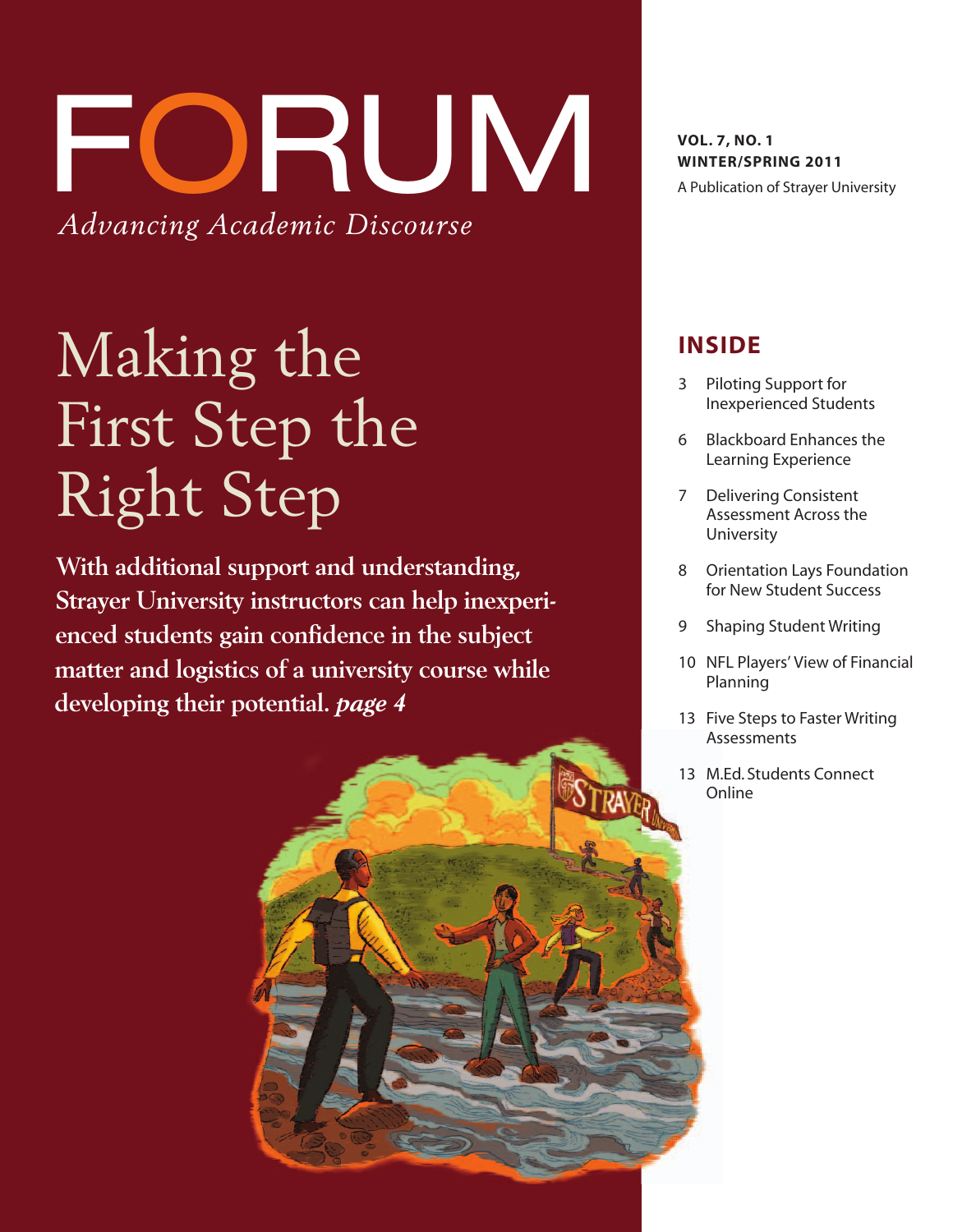# VOL. 7, NO. 1<br>WINTER/SPRING 2011<br>A Publication of Strayer U

*Advancing Academic Discourse*

## Making the First Step the Right Step

**With additional support and understanding, Strayer University instructors can help inexperienced students gain confidence in the subject matter and logistics of a university course while developing their potential.** *page 4*

A Publication of Strayer University

#### **INSIDE**

- 3 Piloting Support for Inexperienced Students
- 6 Blackboard Enhances the Learning Experience
- 7 Delivering Consistent Assessment Across the University
- 8 Orientation Lays Foundation for New Student Success
- 9 Shaping Student Writing
- 10 NFL Players' View of Financial Planning
- 13 Five Steps to Faster Writing Assessments
- 13 M.Ed. Students Connect Online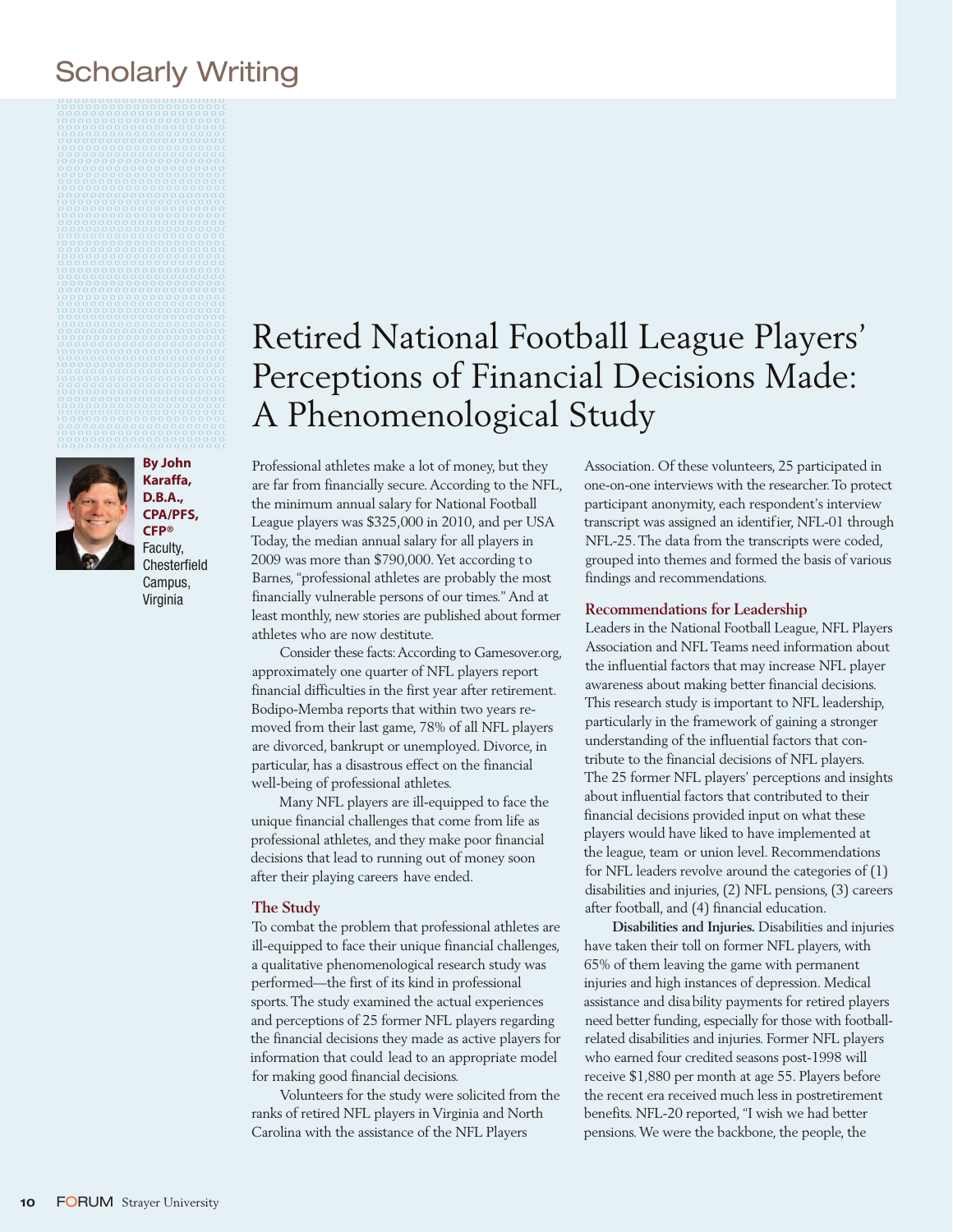#### **Scholarly Writing** o o o o o o o o o o o o o o o o o o o o o o

o o o o o o o o o o o o o o o o o o o o o



**CPA/PFS, CFP®** Faculty, Chesterfield Campus, Virginia

### Retired National Football League Players' Perceptions of Financial Decisions Made: A Phenomenological Study

Professional athletes make a lot of money, but they are far from financially secure. According to the NFL, the minimum annual salary for National Football League players was \$325,000 in 2010, and per USA Today, the median annual salary for all players in 2009 was more than \$790,000. Yet according to Barnes, "professional athletes are probably the most financially vulnerable persons of our times." And at least monthly, new stories are published about former athletes who are now destitute.

Consider these facts: According to Gamesover.org, approximately one quarter of NFL players report financial difficulties in the first year after retirement. Bodipo-Memba reports that within two years removed from their last game, 78% of all NFL players are divorced, bankrupt or unemployed. Divorce, in particular, has a disastrous effect on the financial well-being of professional athletes.

Many NFL players are ill-equipped to face the unique financial challenges that come from life as professional athletes, and they make poor financial decisions that lead to running out of money soon after their playing careers have ended.

#### **The Study**

To combat the problem that professional athletes are ill-equipped to face their unique financial challenges, a qualitative phenomenological research study was performed—the first of its kind in professional sports. The study examined the actual experiences and perceptions of 25 former NFL players regarding the financial decisions they made as active players for information that could lead to an appropriate model for making good financial decisions.

Volunteers for the study were solicited from the ranks of retired NFL players in Virginia and North Carolina with the assistance of the NFL Players

Association. Of these volunteers, 25 participated in one-on-one interviews with the researcher. To protect participant anonymity, each respondent's interview transcript was assigned an identifier, NFL-01 through NFL-25. The data from the transcripts were coded, grouped into themes and formed the basis of various findings and recommendations.

#### **Recommendations for Leadership**

Leaders in the National Football League, NFL Players Association and NFL Teams need information about the influential factors that may increase NFL player awareness about making better financial decisions. This research study is important to NFL leadership, particularly in the framework of gaining a stronger understanding of the influential factors that contribute to the financial decisions of NFL players. The 25 former NFL players' perceptions and insights about influential factors that contributed to their financial decisions provided input on what these players would have liked to have implemented at the league, team or union level. Recommendations for NFL leaders revolve around the categories of (1) disabilities and injuries, (2) NFL pensions, (3) careers after football, and (4) financial education.

**Disabilities and Injuries.** Disabilities and injuries have taken their toll on former NFL players, with 65% of them leaving the game with permanent injuries and high instances of depression. Medical assistance and disability payments for retired players need better funding, especially for those with footballrelated disabilities and injuries. Former NFL players who earned four credited seasons post-1998 will receive \$1,880 per month at age 55. Players before the recent era received much less in postretirement benefits. NFL-20 reported, "I wish we had better pensions. We were the backbone, the people, the